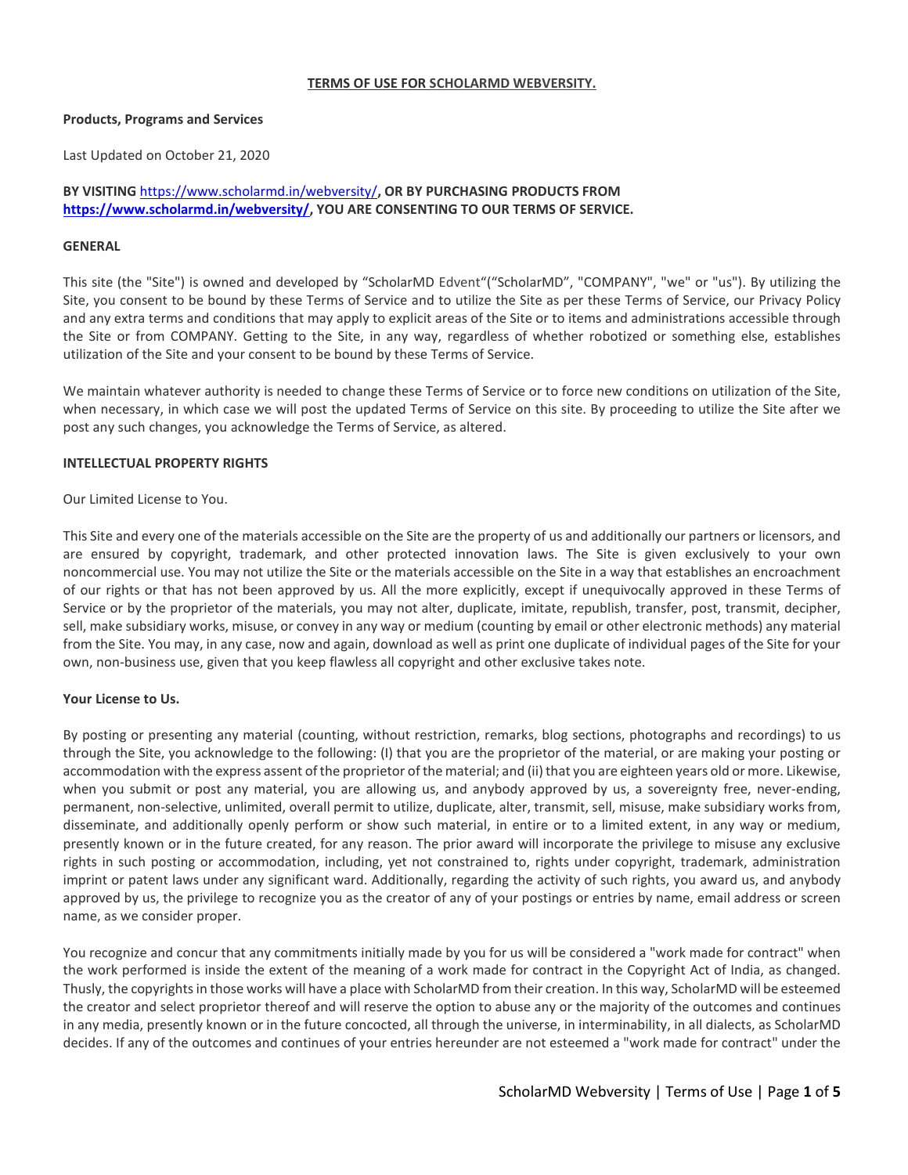### **TERMS OF USE FOR SCHOLARMD WEBVERSITY.**

### **Products, Programs and Services**

Last Updated on October 21, 2020

# **BY VISITING** <https://www.scholarmd.in/webversity/>**, OR BY PURCHASING PRODUCTS FROM [https://www.scholarmd.in/webversity/,](https://www.scholarmd.in/webversity/) YOU ARE CONSENTING TO OUR TERMS OF SERVICE.**

## **GENERAL**

This site (the "Site") is owned and developed by "ScholarMD Edvent"("ScholarMD", "COMPANY", "we" or "us"). By utilizing the Site, you consent to be bound by these Terms of Service and to utilize the Site as per these Terms of Service, our Privacy Policy and any extra terms and conditions that may apply to explicit areas of the Site or to items and administrations accessible through the Site or from COMPANY. Getting to the Site, in any way, regardless of whether robotized or something else, establishes utilization of the Site and your consent to be bound by these Terms of Service.

We maintain whatever authority is needed to change these Terms of Service or to force new conditions on utilization of the Site, when necessary, in which case we will post the updated Terms of Service on this site. By proceeding to utilize the Site after we post any such changes, you acknowledge the Terms of Service, as altered.

## **INTELLECTUAL PROPERTY RIGHTS**

Our Limited License to You.

This Site and every one of the materials accessible on the Site are the property of us and additionally our partners or licensors, and are ensured by copyright, trademark, and other protected innovation laws. The Site is given exclusively to your own noncommercial use. You may not utilize the Site or the materials accessible on the Site in a way that establishes an encroachment of our rights or that has not been approved by us. All the more explicitly, except if unequivocally approved in these Terms of Service or by the proprietor of the materials, you may not alter, duplicate, imitate, republish, transfer, post, transmit, decipher, sell, make subsidiary works, misuse, or convey in any way or medium (counting by email or other electronic methods) any material from the Site. You may, in any case, now and again, download as well as print one duplicate of individual pages of the Site for your own, non-business use, given that you keep flawless all copyright and other exclusive takes note.

# **Your License to Us.**

By posting or presenting any material (counting, without restriction, remarks, blog sections, photographs and recordings) to us through the Site, you acknowledge to the following: (I) that you are the proprietor of the material, or are making your posting or accommodation with the express assent of the proprietor of the material; and (ii) that you are eighteen years old or more. Likewise, when you submit or post any material, you are allowing us, and anybody approved by us, a sovereignty free, never-ending, permanent, non-selective, unlimited, overall permit to utilize, duplicate, alter, transmit, sell, misuse, make subsidiary works from, disseminate, and additionally openly perform or show such material, in entire or to a limited extent, in any way or medium, presently known or in the future created, for any reason. The prior award will incorporate the privilege to misuse any exclusive rights in such posting or accommodation, including, yet not constrained to, rights under copyright, trademark, administration imprint or patent laws under any significant ward. Additionally, regarding the activity of such rights, you award us, and anybody approved by us, the privilege to recognize you as the creator of any of your postings or entries by name, email address or screen name, as we consider proper.

You recognize and concur that any commitments initially made by you for us will be considered a "work made for contract" when the work performed is inside the extent of the meaning of a work made for contract in the Copyright Act of India, as changed. Thusly, the copyrightsin those works will have a place with ScholarMD from their creation. In this way, ScholarMD will be esteemed the creator and select proprietor thereof and will reserve the option to abuse any or the majority of the outcomes and continues in any media, presently known or in the future concocted, all through the universe, in interminability, in all dialects, as ScholarMD decides. If any of the outcomes and continues of your entries hereunder are not esteemed a "work made for contract" under the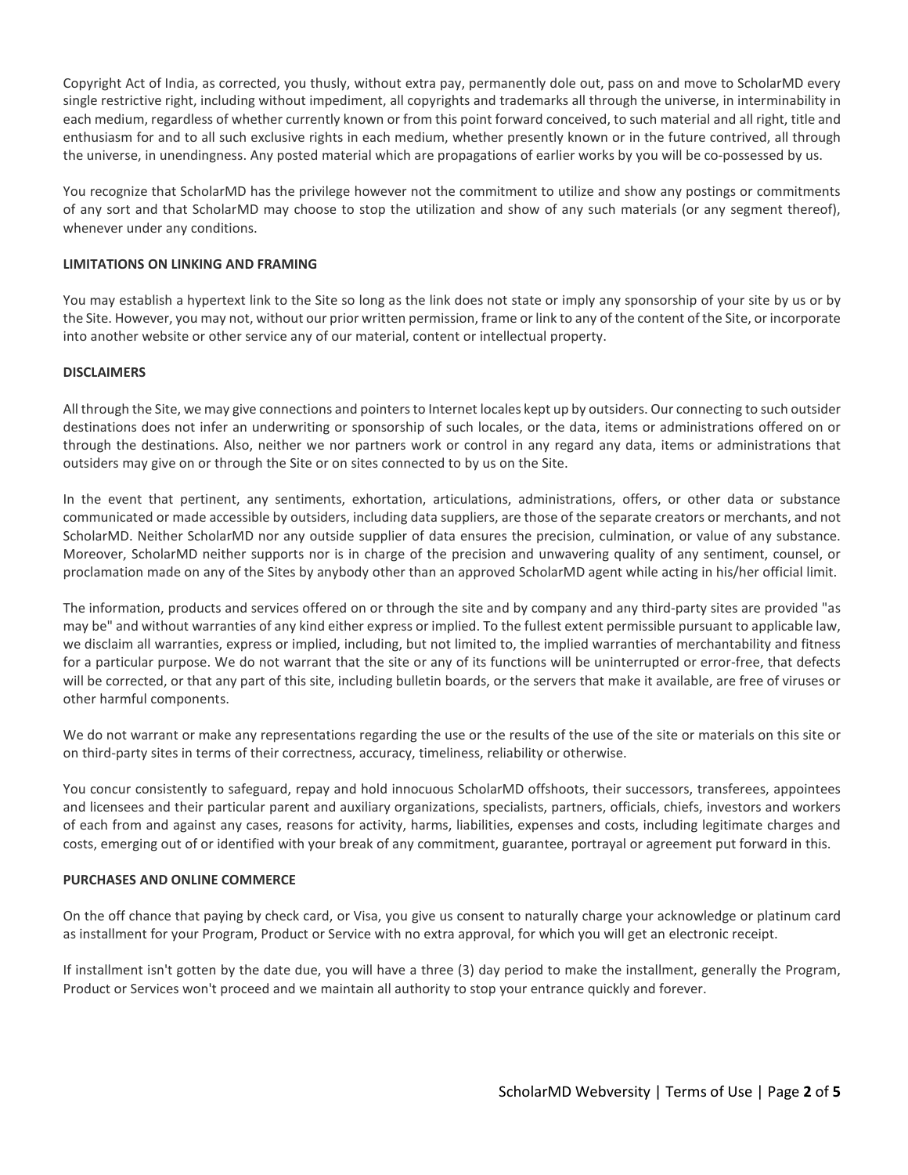Copyright Act of India, as corrected, you thusly, without extra pay, permanently dole out, pass on and move to ScholarMD every single restrictive right, including without impediment, all copyrights and trademarks all through the universe, in interminability in each medium, regardless of whether currently known or from this point forward conceived, to such material and all right, title and enthusiasm for and to all such exclusive rights in each medium, whether presently known or in the future contrived, all through the universe, in unendingness. Any posted material which are propagations of earlier works by you will be co-possessed by us.

You recognize that ScholarMD has the privilege however not the commitment to utilize and show any postings or commitments of any sort and that ScholarMD may choose to stop the utilization and show of any such materials (or any segment thereof), whenever under any conditions.

## **LIMITATIONS ON LINKING AND FRAMING**

You may establish a hypertext link to the Site so long as the link does not state or imply any sponsorship of your site by us or by the Site. However, you may not, without our prior written permission, frame or link to any of the content of the Site, or incorporate into another website or other service any of our material, content or intellectual property.

### **DISCLAIMERS**

All through the Site, we may give connections and pointersto Internet locales kept up by outsiders. Our connecting to such outsider destinations does not infer an underwriting or sponsorship of such locales, or the data, items or administrations offered on or through the destinations. Also, neither we nor partners work or control in any regard any data, items or administrations that outsiders may give on or through the Site or on sites connected to by us on the Site.

In the event that pertinent, any sentiments, exhortation, articulations, administrations, offers, or other data or substance communicated or made accessible by outsiders, including data suppliers, are those of the separate creators or merchants, and not ScholarMD. Neither ScholarMD nor any outside supplier of data ensures the precision, culmination, or value of any substance. Moreover, ScholarMD neither supports nor is in charge of the precision and unwavering quality of any sentiment, counsel, or proclamation made on any of the Sites by anybody other than an approved ScholarMD agent while acting in his/her official limit.

The information, products and services offered on or through the site and by company and any third-party sites are provided "as may be" and without warranties of any kind either express or implied. To the fullest extent permissible pursuant to applicable law, we disclaim all warranties, express or implied, including, but not limited to, the implied warranties of merchantability and fitness for a particular purpose. We do not warrant that the site or any of its functions will be uninterrupted or error-free, that defects will be corrected, or that any part of this site, including bulletin boards, or the servers that make it available, are free of viruses or other harmful components.

We do not warrant or make any representations regarding the use or the results of the use of the site or materials on this site or on third-party sites in terms of their correctness, accuracy, timeliness, reliability or otherwise.

You concur consistently to safeguard, repay and hold innocuous ScholarMD offshoots, their successors, transferees, appointees and licensees and their particular parent and auxiliary organizations, specialists, partners, officials, chiefs, investors and workers of each from and against any cases, reasons for activity, harms, liabilities, expenses and costs, including legitimate charges and costs, emerging out of or identified with your break of any commitment, guarantee, portrayal or agreement put forward in this.

# **PURCHASES AND ONLINE COMMERCE**

On the off chance that paying by check card, or Visa, you give us consent to naturally charge your acknowledge or platinum card as installment for your Program, Product or Service with no extra approval, for which you will get an electronic receipt.

If installment isn't gotten by the date due, you will have a three (3) day period to make the installment, generally the Program, Product or Services won't proceed and we maintain all authority to stop your entrance quickly and forever.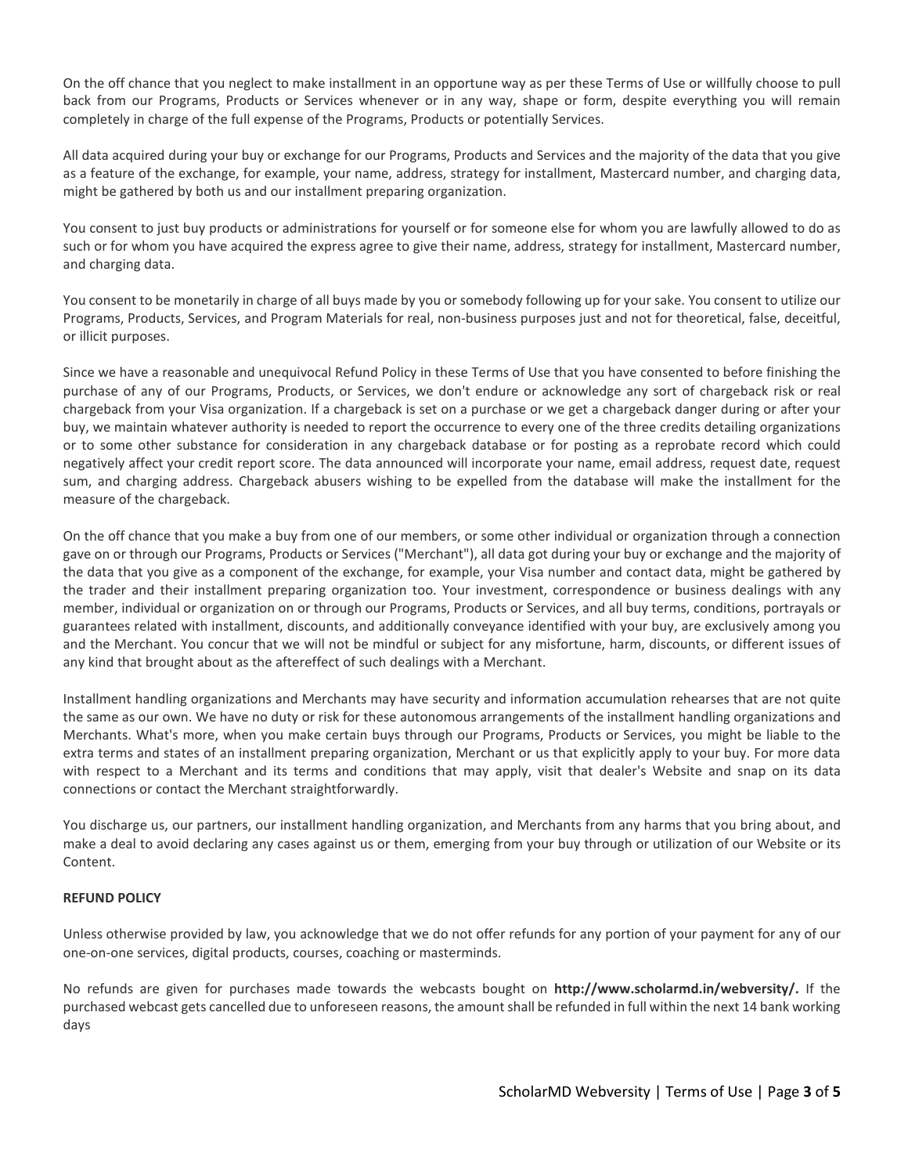On the off chance that you neglect to make installment in an opportune way as per these Terms of Use or willfully choose to pull back from our Programs, Products or Services whenever or in any way, shape or form, despite everything you will remain completely in charge of the full expense of the Programs, Products or potentially Services.

All data acquired during your buy or exchange for our Programs, Products and Services and the majority of the data that you give as a feature of the exchange, for example, your name, address, strategy for installment, Mastercard number, and charging data, might be gathered by both us and our installment preparing organization.

You consent to just buy products or administrations for yourself or for someone else for whom you are lawfully allowed to do as such or for whom you have acquired the express agree to give their name, address, strategy for installment, Mastercard number, and charging data.

You consent to be monetarily in charge of all buys made by you or somebody following up for your sake. You consent to utilize our Programs, Products, Services, and Program Materials for real, non-business purposes just and not for theoretical, false, deceitful, or illicit purposes.

Since we have a reasonable and unequivocal Refund Policy in these Terms of Use that you have consented to before finishing the purchase of any of our Programs, Products, or Services, we don't endure or acknowledge any sort of chargeback risk or real chargeback from your Visa organization. If a chargeback is set on a purchase or we get a chargeback danger during or after your buy, we maintain whatever authority is needed to report the occurrence to every one of the three credits detailing organizations or to some other substance for consideration in any chargeback database or for posting as a reprobate record which could negatively affect your credit report score. The data announced will incorporate your name, email address, request date, request sum, and charging address. Chargeback abusers wishing to be expelled from the database will make the installment for the measure of the chargeback.

On the off chance that you make a buy from one of our members, or some other individual or organization through a connection gave on or through our Programs, Products or Services ("Merchant"), all data got during your buy or exchange and the majority of the data that you give as a component of the exchange, for example, your Visa number and contact data, might be gathered by the trader and their installment preparing organization too. Your investment, correspondence or business dealings with any member, individual or organization on or through our Programs, Products or Services, and all buy terms, conditions, portrayals or guarantees related with installment, discounts, and additionally conveyance identified with your buy, are exclusively among you and the Merchant. You concur that we will not be mindful or subject for any misfortune, harm, discounts, or different issues of any kind that brought about as the aftereffect of such dealings with a Merchant.

Installment handling organizations and Merchants may have security and information accumulation rehearses that are not quite the same as our own. We have no duty or risk for these autonomous arrangements of the installment handling organizations and Merchants. What's more, when you make certain buys through our Programs, Products or Services, you might be liable to the extra terms and states of an installment preparing organization, Merchant or us that explicitly apply to your buy. For more data with respect to a Merchant and its terms and conditions that may apply, visit that dealer's Website and snap on its data connections or contact the Merchant straightforwardly.

You discharge us, our partners, our installment handling organization, and Merchants from any harms that you bring about, and make a deal to avoid declaring any cases against us or them, emerging from your buy through or utilization of our Website or its Content.

# **REFUND POLICY**

Unless otherwise provided by law, you acknowledge that we do not offer refunds for any portion of your payment for any of our one-on-one services, digital products, courses, coaching or masterminds.

No refunds are given for purchases made towards the webcasts bought on **http://www.scholarmd.in/webversity/.** If the purchased webcast gets cancelled due to unforeseen reasons, the amount shall be refunded in full within the next 14 bank working days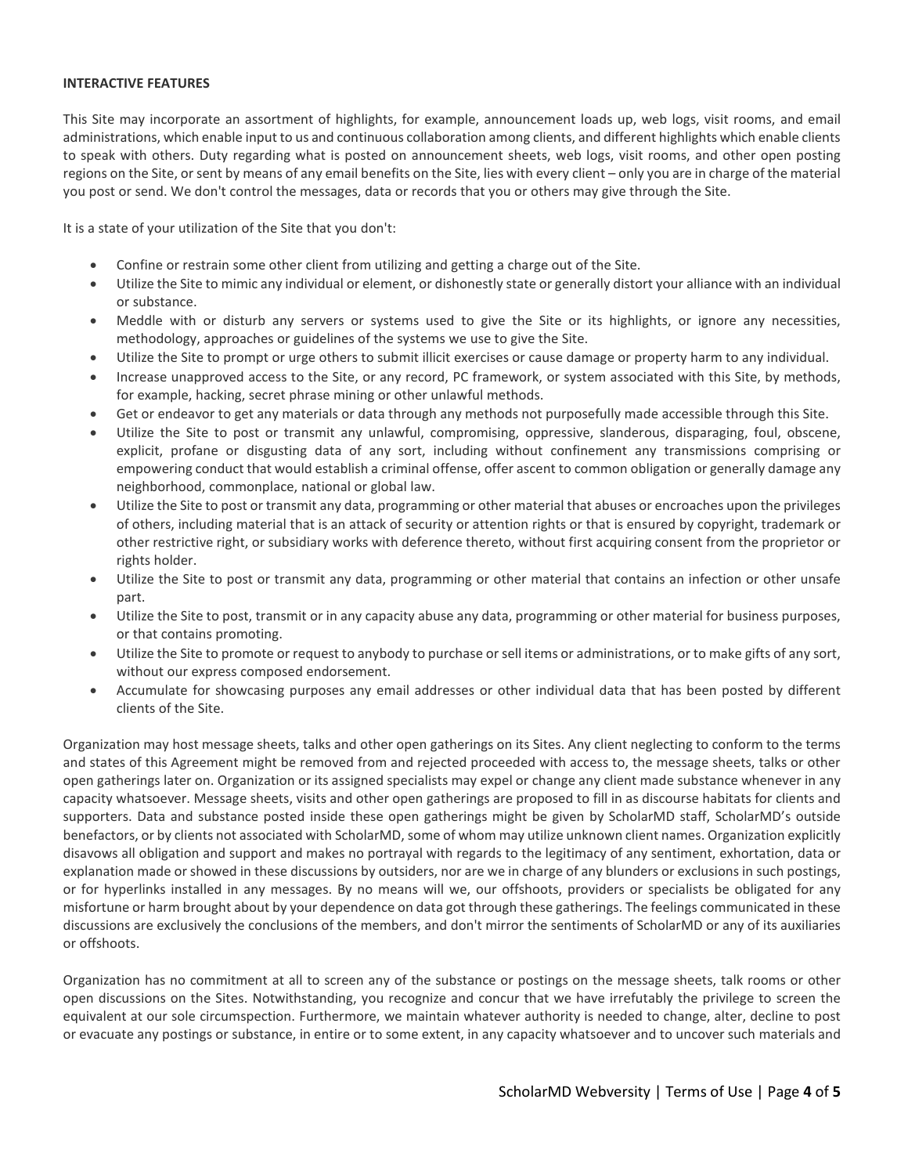#### **INTERACTIVE FEATURES**

This Site may incorporate an assortment of highlights, for example, announcement loads up, web logs, visit rooms, and email administrations, which enable input to us and continuous collaboration among clients, and different highlights which enable clients to speak with others. Duty regarding what is posted on announcement sheets, web logs, visit rooms, and other open posting regions on the Site, or sent by means of any email benefits on the Site, lies with every client – only you are in charge of the material you post or send. We don't control the messages, data or records that you or others may give through the Site.

It is a state of your utilization of the Site that you don't:

- Confine or restrain some other client from utilizing and getting a charge out of the Site.
- Utilize the Site to mimic any individual or element, or dishonestly state or generally distort your alliance with an individual or substance.
- Meddle with or disturb any servers or systems used to give the Site or its highlights, or ignore any necessities, methodology, approaches or guidelines of the systems we use to give the Site.
- Utilize the Site to prompt or urge others to submit illicit exercises or cause damage or property harm to any individual.
- Increase unapproved access to the Site, or any record, PC framework, or system associated with this Site, by methods, for example, hacking, secret phrase mining or other unlawful methods.
- Get or endeavor to get any materials or data through any methods not purposefully made accessible through this Site.
- Utilize the Site to post or transmit any unlawful, compromising, oppressive, slanderous, disparaging, foul, obscene, explicit, profane or disgusting data of any sort, including without confinement any transmissions comprising or empowering conduct that would establish a criminal offense, offer ascent to common obligation or generally damage any neighborhood, commonplace, national or global law.
- Utilize the Site to post or transmit any data, programming or other material that abuses or encroaches upon the privileges of others, including material that is an attack of security or attention rights or that is ensured by copyright, trademark or other restrictive right, or subsidiary works with deference thereto, without first acquiring consent from the proprietor or rights holder.
- Utilize the Site to post or transmit any data, programming or other material that contains an infection or other unsafe part.
- Utilize the Site to post, transmit or in any capacity abuse any data, programming or other material for business purposes, or that contains promoting.
- Utilize the Site to promote or request to anybody to purchase orsell items or administrations, or to make gifts of any sort, without our express composed endorsement.
- Accumulate for showcasing purposes any email addresses or other individual data that has been posted by different clients of the Site.

Organization may host message sheets, talks and other open gatherings on its Sites. Any client neglecting to conform to the terms and states of this Agreement might be removed from and rejected proceeded with access to, the message sheets, talks or other open gatherings later on. Organization or its assigned specialists may expel or change any client made substance whenever in any capacity whatsoever. Message sheets, visits and other open gatherings are proposed to fill in as discourse habitats for clients and supporters. Data and substance posted inside these open gatherings might be given by ScholarMD staff, ScholarMD's outside benefactors, or by clients not associated with ScholarMD, some of whom may utilize unknown client names. Organization explicitly disavows all obligation and support and makes no portrayal with regards to the legitimacy of any sentiment, exhortation, data or explanation made or showed in these discussions by outsiders, nor are we in charge of any blunders or exclusions in such postings, or for hyperlinks installed in any messages. By no means will we, our offshoots, providers or specialists be obligated for any misfortune or harm brought about by your dependence on data got through these gatherings. The feelings communicated in these discussions are exclusively the conclusions of the members, and don't mirror the sentiments of ScholarMD or any of its auxiliaries or offshoots.

Organization has no commitment at all to screen any of the substance or postings on the message sheets, talk rooms or other open discussions on the Sites. Notwithstanding, you recognize and concur that we have irrefutably the privilege to screen the equivalent at our sole circumspection. Furthermore, we maintain whatever authority is needed to change, alter, decline to post or evacuate any postings or substance, in entire or to some extent, in any capacity whatsoever and to uncover such materials and